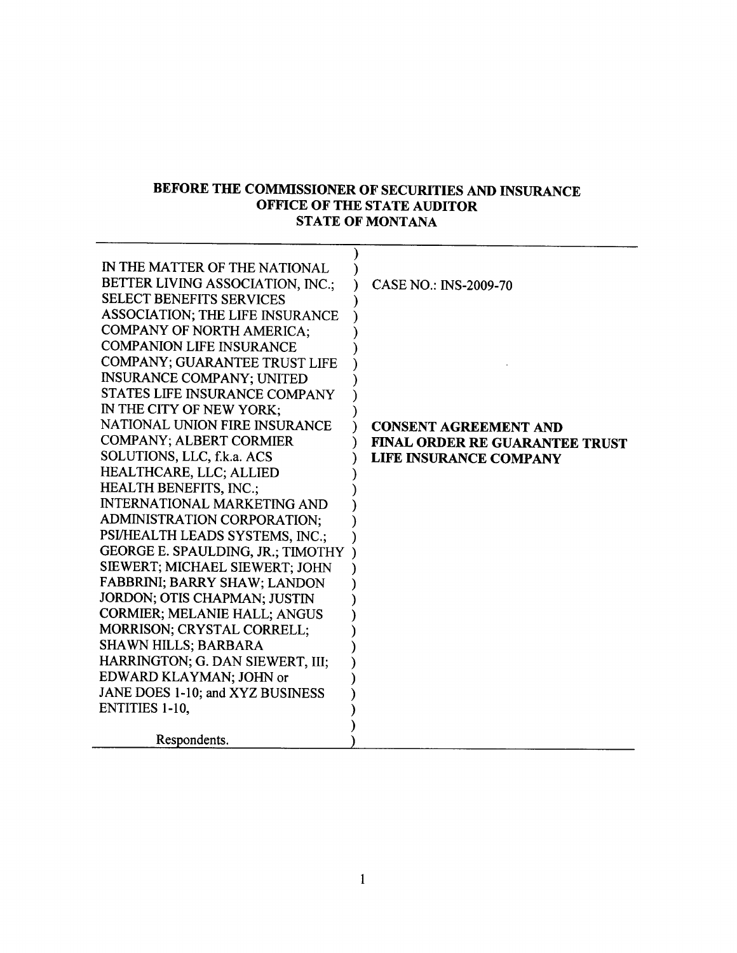## BEFORE THE COMMISSIONER OF SECURITIES AND INSURANCE OFFICE OF THE STATE AUDITOR STATE OF MONTANA

| IN THE MATTER OF THE NATIONAL<br>BETTER LIVING ASSOCIATION, INC.;<br><b>SELECT BENEFITS SERVICES</b><br>ASSOCIATION; THE LIFE INSURANCE | <b>CASE NO.: INS-2009-70</b>                                                                           |
|-----------------------------------------------------------------------------------------------------------------------------------------|--------------------------------------------------------------------------------------------------------|
| <b>COMPANY OF NORTH AMERICA;</b><br><b>COMPANION LIFE INSURANCE</b><br><b>COMPANY: GUARANTEE TRUST LIFE</b>                             |                                                                                                        |
| <b>INSURANCE COMPANY; UNITED</b><br>STATES LIFE INSURANCE COMPANY<br>IN THE CITY OF NEW YORK;                                           |                                                                                                        |
| NATIONAL UNION FIRE INSURANCE<br><b>COMPANY; ALBERT CORMIER</b><br>SOLUTIONS, LLC, f.k.a. ACS<br>HEALTHCARE, LLC; ALLIED                | <b>CONSENT AGREEMENT AND</b><br><b>FINAL ORDER RE GUARANTEE TRUST</b><br><b>LIFE INSURANCE COMPANY</b> |
| HEALTH BENEFITS, INC.;<br><b>INTERNATIONAL MARKETING AND</b><br>ADMINISTRATION CORPORATION;                                             |                                                                                                        |
| PSI/HEALTH LEADS SYSTEMS, INC.;<br>GEORGE E. SPAULDING, JR.; TIMOTHY<br>SIEWERT; MICHAEL SIEWERT; JOHN                                  |                                                                                                        |
| FABBRINI; BARRY SHAW; LANDON<br>JORDON; OTIS CHAPMAN; JUSTIN<br><b>CORMIER; MELANIE HALL; ANGUS</b>                                     |                                                                                                        |
| MORRISON; CRYSTAL CORRELL;<br><b>SHAWN HILLS; BARBARA</b><br>HARRINGTON; G. DAN SIEWERT, III;                                           |                                                                                                        |
| EDWARD KLAYMAN; JOHN or<br>JANE DOES 1-10; and XYZ BUSINESS<br><b>ENTITIES 1-10.</b>                                                    |                                                                                                        |
| Respondents.                                                                                                                            |                                                                                                        |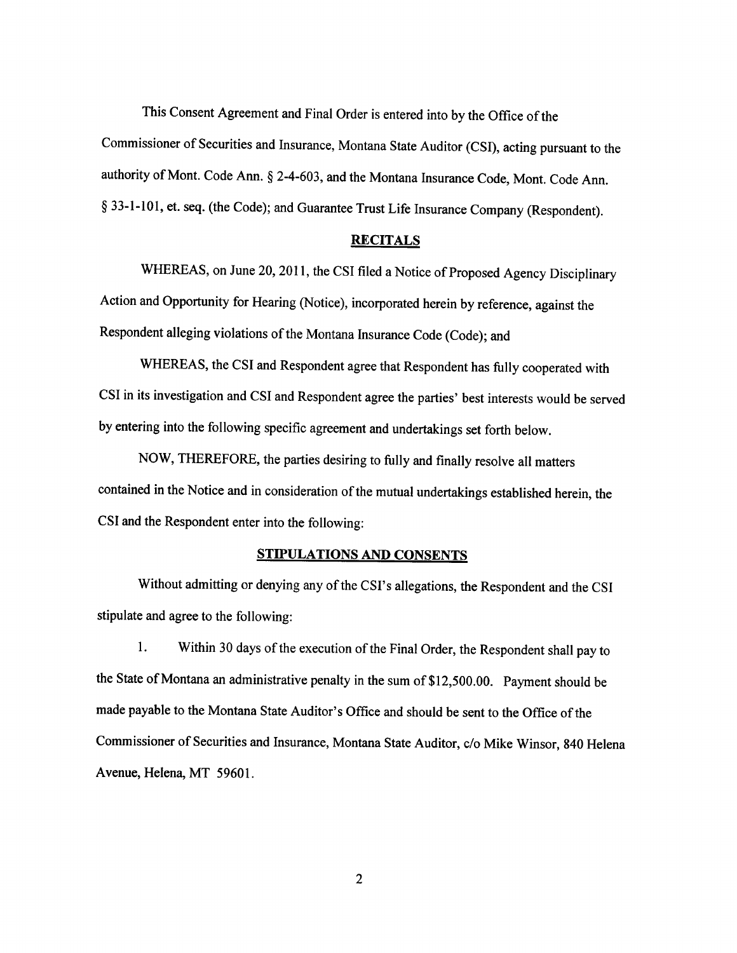This Consent Agreement and Final Order is entered into by the Office of the

Commissioner of Securities and Insurance, Montana State Auditor (CSI), acting pursuant to the authority of Mont. Code Ann. \$ 2-4-603, and the Montana Insurance Code, Mont. Code Ann. \$ 33-1-101, et. seq. (the Code); and Guarantee Trust Life Insurance Company (Respondent).

## RECITALS

WHEREAS, on June 20,2011, the CSI filed a Notice of Proposed Agency Disciplinary Action and Opportunity for Hearing (Notice), incorporated herein by reference, against the Respondent alleging violations of the Montana Insurance Code (Code); and

WHEREAS, the CSI and Respondent agree that Respondent has fully cooperated with CSI in its investigation and CSI and Respondent agree the parties' best interests would be served by entering into the following specific agreement and undertakings set forth below.

NOW, THEREFORE, the parties desiring to fully and finally resolve all matters contained in the Notice and in consideration of the mutual undertakings established herein, the CSI and the Respondent enter into the following:

## **STIPULATIONS AND CONSENTS**

Without admitting or denying any of the CSI's allegations, the Respondent and the CSI stipulate and agree to the following:

l. Within 30 days of the execution of the Final Order, the Respondent shall pay to the State of Montana an administrative penalty in the sum of \$12,500.00. Payment should be made payable to the Montana State Auditor's Office and should be sent to the Office of the Commissioner of Securities and Insurance, Montana State Auditor, c/o Mike Winsor, 840 Helena Avenue, Helena, MT 59601.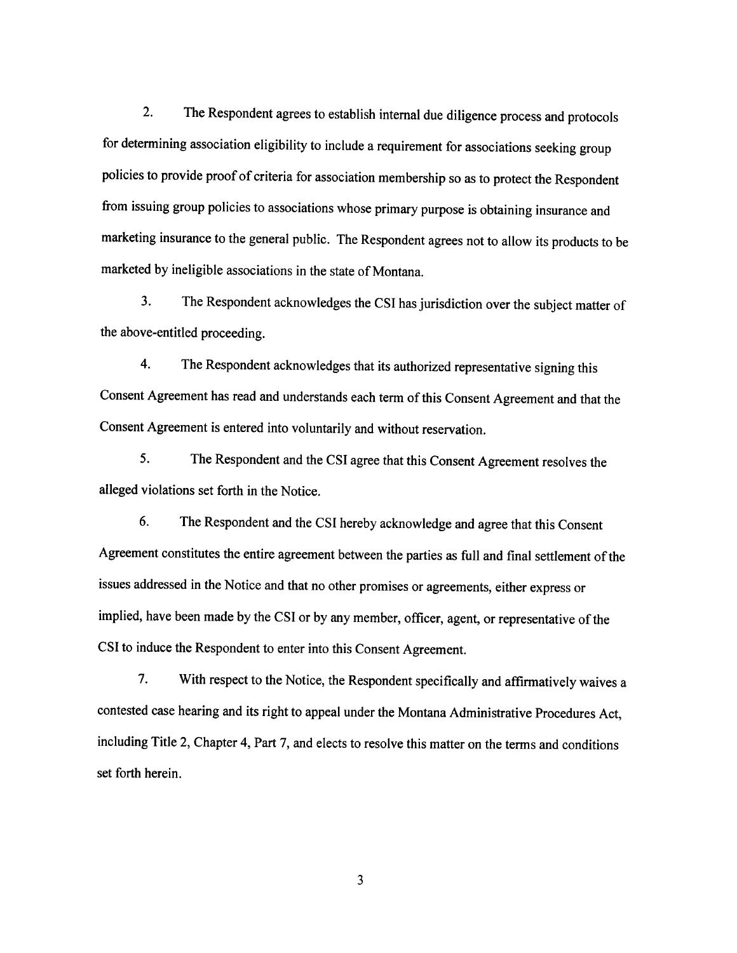2. The Respondent agrees to establish intemal due diligence process and protocols for determining association eligibility to include a requirement for associations seeking group policies to provide proof of criteria for association membership so as to protect the Respondent from issuing group policies to associations whose primary purpose is obtaining insurance and marketing insurance to the general public. The Respondent agrees not to allow its products to be marketed by ineligible associations in the state of Montana.

3. The Respondent acknowledges the CSI has jurisdiction over the subject matter of the above-entitled proceeding.

4. The Respondent acknowledges that its authorized representative signing this Consent Agreement has read and understands each term of this Consent Agreement and that the consent Agreement is entered into voluntarily and without reservation.

5. The Respondent and the CSI agree that this Consent Agreement resolves the alleged violations set forth in the Notice.

6. The Respondent and the CSI hereby acknowledge and agree that this Consent Agreement constitutes the entire agreement between the parties as full and final settlement of the issues addressed in the Notice and that no other promises or agreements, either express or implied, have been made by the CSI or by any member, officer, agent, or representative of the CSI to induce the Respondent to enter into this Consent Agreement.

7. With respect to the Notice, the Respondent specifically and affirmatively waives <sup>a</sup> contested case hearing and its right to appeal under the Montana Administrative Procedures Act, including Title 2, Chapter 4, Part 7, and elects to resolve this matter on the terms and conditions set forth herein.

3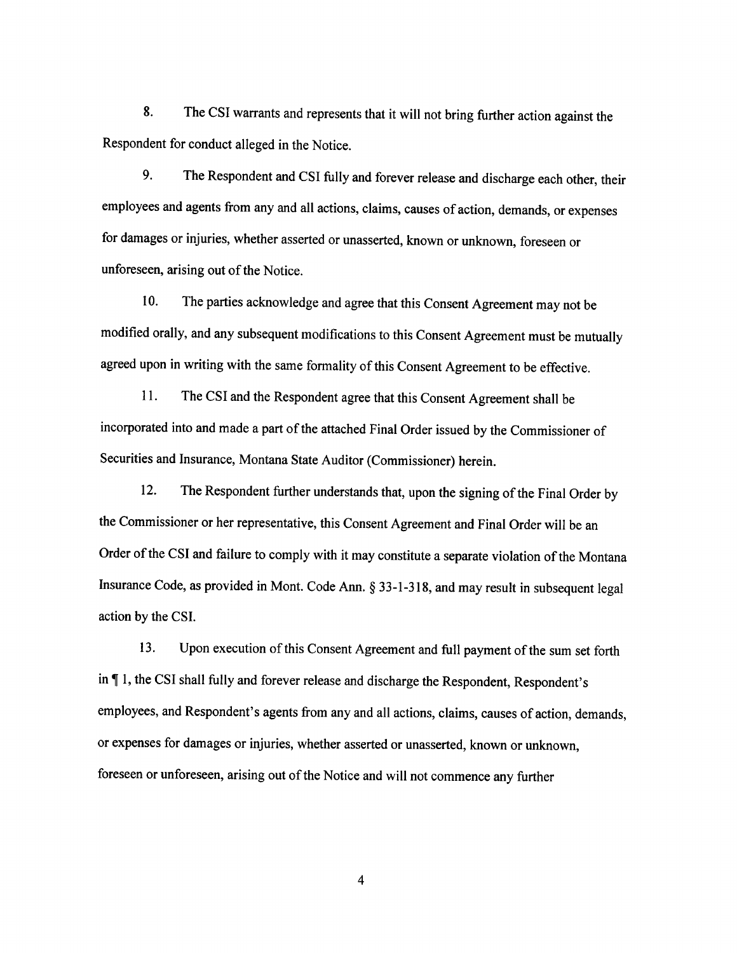8. The CSI warrants and represents that it will not bring further action against the Respondent for conduct alleged in the Notice.

9. The Respondent and CSI fully and forever release and discharge each other, their employees and agents from any and all actions, claims, causes of action, demands, or expenses for damages or injuries, whether asserted or unasserted, known or unknown, foreseen or unforeseen, arising out of the Notice.

10. The parties acknowledge and agree that this Consent Agreement may not be modified orally, and any subsequent modifications to this Consent Agreement must be mutually agreed upon in writing with the same formality of this Consent Agreement to be effective.

<sup>I</sup>l. The CSI and the Respondent agree that this Consent Agreement shall be incorporated into and made a part of the attached Final Order issued by the Commissioner of Securities and Insurance, Montana State Auditor (Commissioner) herein.

12. The Respondent further understands that, upon the signing of the Final Order by the Commissioner or her representative, this Consent Agreement and Final Order will be an Order of the CSI and failure to comply with it may constitute a separate violation of the Montana Insurance Code, as provided in Mont. Code Ann. \$ 33-1-318, and may result in subsequent legal action by the CSI.

13. Upon execution of this Consent Agreement and full payment of the sum set forth in  $\P$  1, the CSI shall fully and forever release and discharge the Respondent, Respondent's employees, and Respondent's agents from any and all actions, claims, causes of action, demands, or expenses for damages or injuries, whether asserted or unasserted, known or unknown, foreseen or unforeseen, arising out of the Notice and will not commence any further

 $\overline{\mathbf{4}}$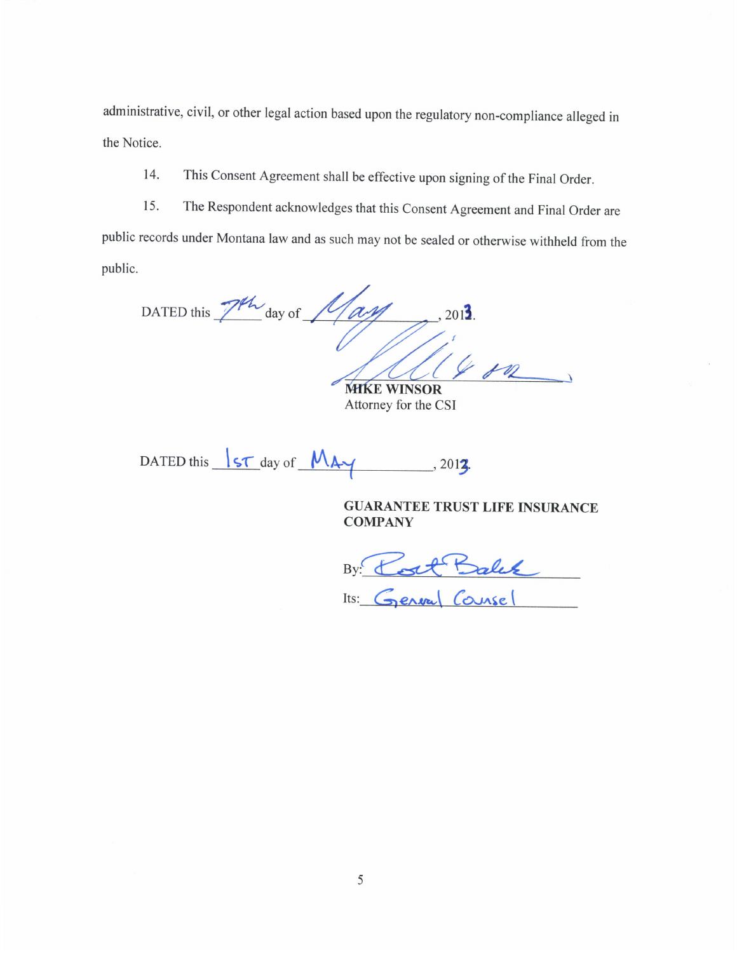administrative, civil, or other legal action based upon the regulatory non-compliance alleged in the Notice.

This Consent Agreement shall be effective upon signing of the Final Order. 14.

The Respondent acknowledges that this Consent Agreement and Final Order are 15. public records under Montana law and as such may not be sealed or otherwise withheld from the public.

DATED this 7th day of 1/ag  $201$ <sup>3</sup>

**MIKE WINSOR** Attorney for the CSI

DATED this <u>ST</u> day of MAY  $-$ , 2012.

**GUARANTEE TRUST LIFE INSURANCE COMPANY** 

By Cott Balck Its: General Counsel